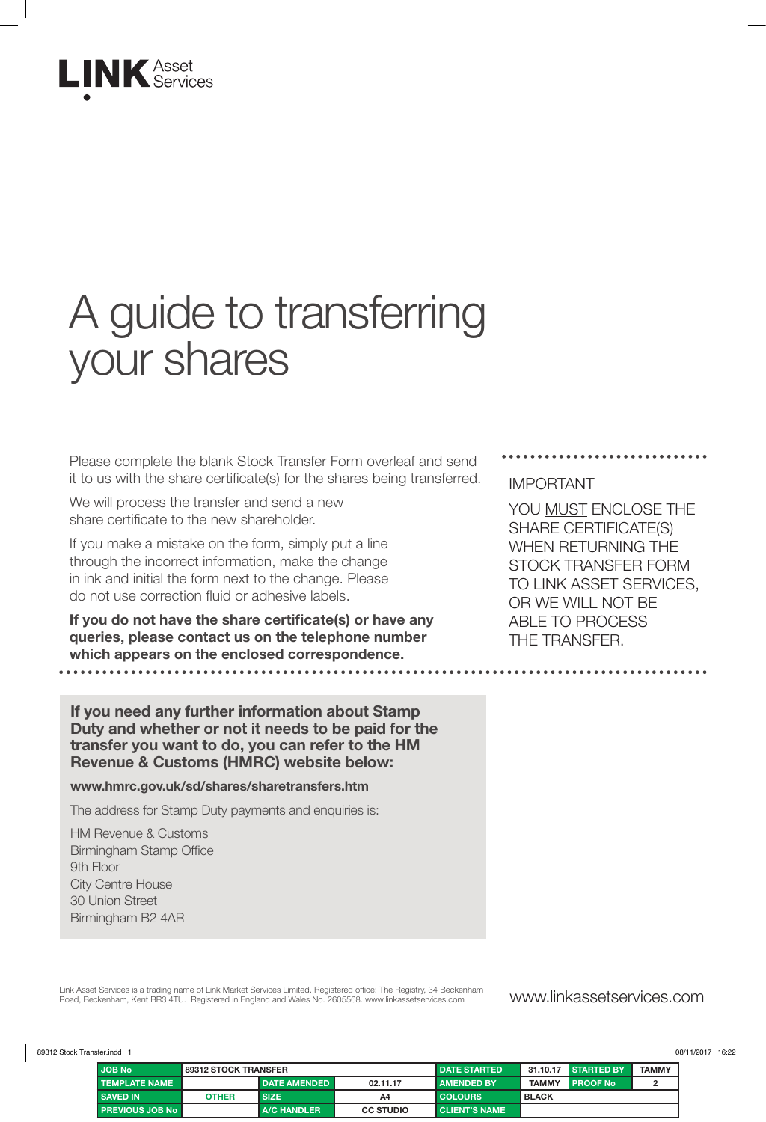

# A guide to transferring your shares

Please complete the blank Stock Transfer Form overleaf and send it to us with the share certificate(s) for the shares being transferred.

We will process the transfer and send a new share certificate to the new shareholder.

If you make a mistake on the form, simply put a line through the incorrect information, make the change in ink and initial the form next to the change. Please do not use correction fluid or adhesive labels.

**If you do not have the share certificate(s) or have any queries, please contact us on the telephone number which appears on the enclosed correspondence.** 

**If you need any further information about Stamp Duty and whether or not it needs to be paid for the transfer you want to do, you can refer to the HM Revenue & Customs (HMRC) website below:**

#### **www.hmrc.gov.uk/sd/shares/sharetransfers.htm**

The address for Stamp Duty payments and enquiries is:

HM Revenue & Customs Birmingham Stamp Office 9th Floor City Centre House 30 Union Street Birmingham B2 4AR

#### IMPORTANT

YOU MUST ENCLOSE THE SHARE CERTIFICATE(S) WHEN RETURNING THE STOCK TRANSFER FORM TO LINK ASSET SERVICES, OR WE WILL NOT BE ABLE TO PROCESS THE TRANSFER.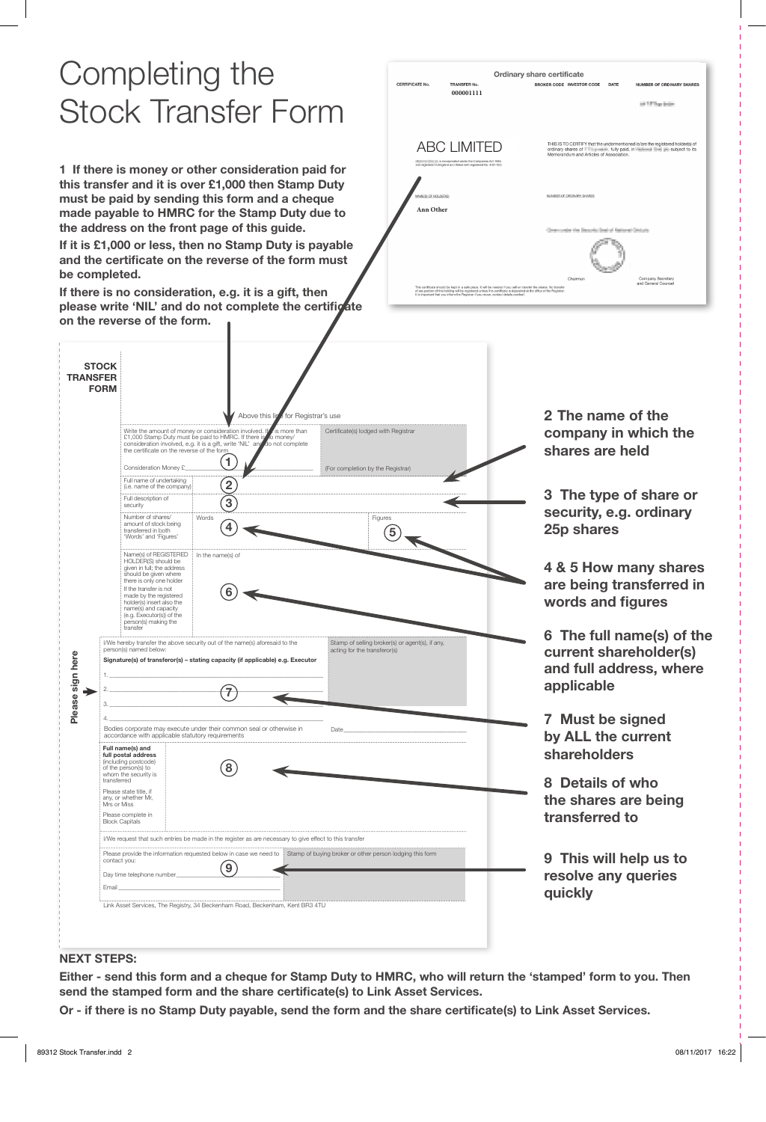## Completing the Stock Transfer Form

**1 If there is money or other consideration paid for this transfer and it is over £1,000 then Stamp Duty must be paid by sending this form and a cheque made payable to HMRC for the Stamp Duty due to the address on the front page of this guide.** 

**If it is £1,000 or less, then no Stamp Duty is payable and the certificate on the reverse of the form must be completed.** 

**If there is no consideration, e.g. it is a gift, then**  please write 'NIL' and do not complete the certificate **on the reverse of the form.** 

| <b>CERTIFICATE No.</b> | TRANSFER No.                                                                                                                                                                                                   | Ordinary share certificate<br><b>BROKER CODE INVESTOR CODE</b> | DATE<br><b>NUMBER OF ORDINARY SHARES</b>                                                                                                                                         |
|------------------------|----------------------------------------------------------------------------------------------------------------------------------------------------------------------------------------------------------------|----------------------------------------------------------------|----------------------------------------------------------------------------------------------------------------------------------------------------------------------------------|
|                        | 000001111                                                                                                                                                                                                      |                                                                | and 1-8" Dogs Anders                                                                                                                                                             |
|                        |                                                                                                                                                                                                                |                                                                |                                                                                                                                                                                  |
|                        | <b>ABC LIMITED</b>                                                                                                                                                                                             |                                                                | THIS IS TO CERTIFY that the undermentioned is/are the registered holder(s) of<br>ordinary shares of <b>The participate</b> , fully paid, in <b>Community</b> 1991 aubject to its |
|                        | IRIIIIIIIIIIIIIIIIIII is incorporated under the Companies Act 1985<br>and registered in England and Wales with registered No. 4031152).                                                                        | Memorandum and Articles of Association.                        |                                                                                                                                                                                  |
|                        |                                                                                                                                                                                                                |                                                                |                                                                                                                                                                                  |
| NAME(S) OF HOLDER(S)   |                                                                                                                                                                                                                | NUMBER OF ORDINARY SHARES                                      |                                                                                                                                                                                  |
| Ann Other              |                                                                                                                                                                                                                |                                                                |                                                                                                                                                                                  |
|                        |                                                                                                                                                                                                                | Concernation that Departural State of Retirement Contracts     |                                                                                                                                                                                  |
|                        |                                                                                                                                                                                                                |                                                                |                                                                                                                                                                                  |
|                        | This certificate should be kept in a safe place. It will be needed if you sell or transfer the shares. No transfer                                                                                             | Chairman                                                       | Company Secretary<br>and General Counsel                                                                                                                                         |
|                        | of any portion of this holding will be registered unless this certificate is deposited at the office of the Registrar.<br>It is important that you inform the Registrar if you move, contact details overleaf. |                                                                |                                                                                                                                                                                  |

| <b>STOCK</b><br><b>TRANSFER</b><br><b>FORM</b> |                                                                                                                                                                                                                                  |                                                                                      |                                                                                 |                                                                                              |
|------------------------------------------------|----------------------------------------------------------------------------------------------------------------------------------------------------------------------------------------------------------------------------------|--------------------------------------------------------------------------------------|---------------------------------------------------------------------------------|----------------------------------------------------------------------------------------------|
|                                                | Write the amount of money or consideration involved. I<br>£1,000 Stamp Duty must be paid to HMRC. If there is<br>consideration involved, e.g. it is a gift, write 'NIL' and<br>the certificate on the reverse of the form        | Above this lig<br>for Registrar's use<br>is more than<br>o money/<br>to not complete | Certificate(s) lodged with Registrar                                            | 2 The name of the<br>company in which the<br>shares are held                                 |
|                                                | 1<br>Consideration Money £<br>Full name of undertaking                                                                                                                                                                           |                                                                                      | (For completion by the Registrar)                                               |                                                                                              |
|                                                | $\overline{2}$<br>(i.e. name of the company)<br>Full description of                                                                                                                                                              |                                                                                      |                                                                                 | 3 The type of share or                                                                       |
|                                                | 3<br>security<br>Number of shares/<br>Words<br>amount of stock being<br>4<br>transferred in both<br>'Words' and 'Figures'                                                                                                        |                                                                                      | Figures<br>5                                                                    | security, e.g. ordinary<br>25p shares                                                        |
|                                                | Name(s) of REGISTERED<br>In the name(s) of<br>HOLDER(S) should be<br>given in full; the address<br>should be given where<br>there is only one holder<br>If the transfer is not                                                   |                                                                                      |                                                                                 | 4 & 5 How many shares<br>are being transferred in                                            |
|                                                | made by the registered<br>holder(s) insert also the<br>name(s) and capacity<br>(e.g. Executor(s)) of the                                                                                                                         |                                                                                      |                                                                                 | words and figures                                                                            |
|                                                | person(s) making the<br>transfer<br>I/We hereby transfer the above security out of the name(s) aforesaid to the<br>person(s) named below:<br>Signature(s) of transferor(s) - stating capacity (if applicable) e.g. Executor<br>7 |                                                                                      | Stamp of selling broker(s) or agent(s), if any,<br>acting for the transferor(s) | 6 The full name(s) of the<br>current shareholder(s)<br>and full address, where<br>applicable |
|                                                | Bodies corporate may execute under their common seal or otherwise in<br>accordance with applicable statutory requirements<br>Full name(s) and                                                                                    |                                                                                      | Date                                                                            | 7 Must be signed<br>by ALL the current                                                       |
|                                                | full postal address<br>(including postcode)<br>8<br>of the person(s) to<br>whom the security is<br>transferred<br>Please state title, if<br>any, or whether Mr,<br>Mrs or Miss<br>Please complete in<br><b>Block Capitals</b>    |                                                                                      |                                                                                 | shareholders<br>8 Details of who<br>the shares are being<br>transferred to                   |
|                                                | I/We request that such entries be made in the register as are necessary to give effect to this transfer                                                                                                                          |                                                                                      |                                                                                 |                                                                                              |

#### **NEXT STEPS:**

**Either - send this form and a cheque for Stamp Duty to HMRC, who will return the 'stamped' form to you. Then send the stamped form and the share certificate(s) to Link Asset Services.** 

**Or - if there is no Stamp Duty payable, send the form and the share certificate(s) to Link Asset Services.**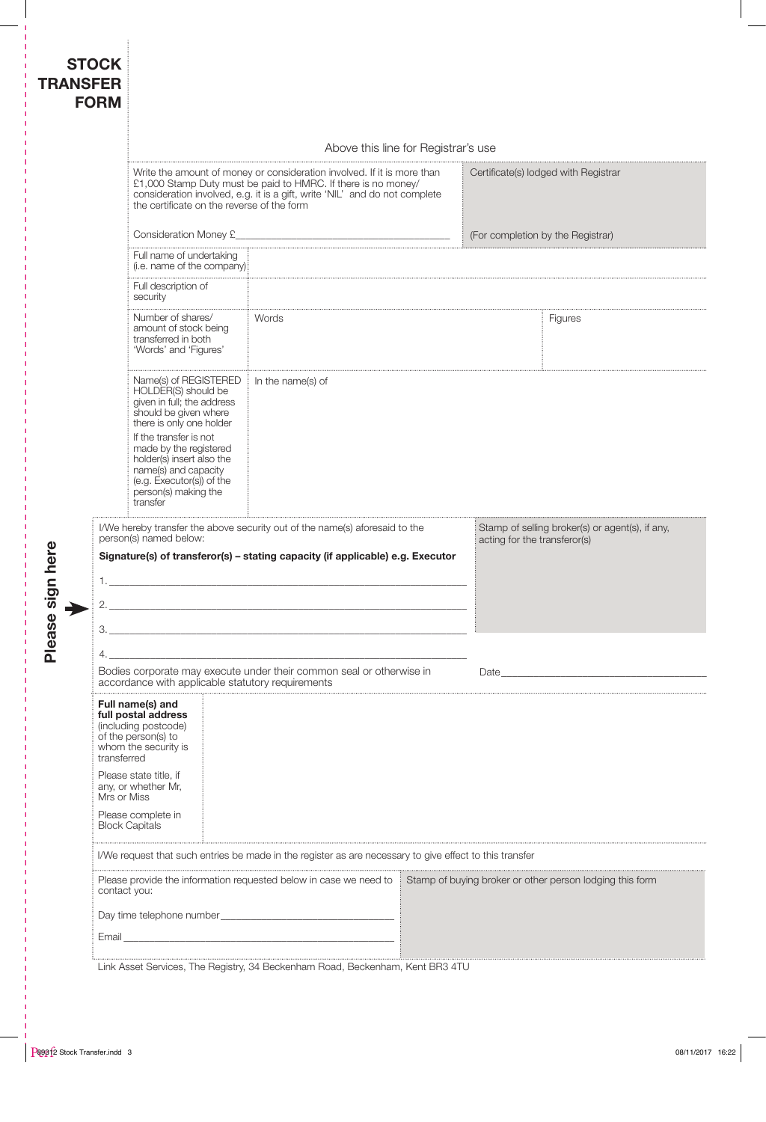| <b>TRANSFER</b>      | <b>STOCK</b><br><b>FORM</b> |                                                                                                                                                                                                                                                                      |  |                                                                                                                                                               |                                      |                              |                                                 |
|----------------------|-----------------------------|----------------------------------------------------------------------------------------------------------------------------------------------------------------------------------------------------------------------------------------------------------------------|--|---------------------------------------------------------------------------------------------------------------------------------------------------------------|--------------------------------------|------------------------------|-------------------------------------------------|
|                      |                             | Above this line for Registrar's use                                                                                                                                                                                                                                  |  |                                                                                                                                                               |                                      |                              |                                                 |
|                      |                             | Write the amount of money or consideration involved. If it is more than<br>£1,000 Stamp Duty must be paid to HMRC. If there is no money/<br>consideration involved, e.g. it is a gift, write 'NIL' and do not complete<br>the certificate on the reverse of the form |  |                                                                                                                                                               | Certificate(s) lodged with Registrar |                              |                                                 |
|                      |                             | Consideration Money £                                                                                                                                                                                                                                                |  |                                                                                                                                                               | (For completion by the Registrar)    |                              |                                                 |
|                      |                             | Full name of undertaking<br>(i.e. name of the company).                                                                                                                                                                                                              |  |                                                                                                                                                               |                                      |                              |                                                 |
|                      |                             | Full description of<br>security                                                                                                                                                                                                                                      |  |                                                                                                                                                               |                                      |                              |                                                 |
|                      |                             | Number of shares/<br>amount of stock being<br>transferred in both<br>'Words' and 'Figures'                                                                                                                                                                           |  | Words                                                                                                                                                         |                                      |                              | Figures                                         |
|                      |                             | Name(s) of REGISTERED<br>HOLDER(S) should be<br>given in full; the address<br>should be given where<br>there is only one holder                                                                                                                                      |  | In the name(s) of                                                                                                                                             |                                      |                              |                                                 |
| gn here<br>Please si |                             | If the transfer is not<br>made by the registered<br>holder(s) insert also the<br>name(s) and capacity<br>(e.g. Executor(s)) of the<br>person(s) making the<br>transfer                                                                                               |  |                                                                                                                                                               |                                      |                              |                                                 |
|                      | 1.<br>2.<br>З.              | person(s) named below:                                                                                                                                                                                                                                               |  | I/We hereby transfer the above security out of the name(s) aforesaid to the<br>Signature(s) of transferor(s) - stating capacity (if applicable) e.g. Executor |                                      | acting for the transferor(s) | Stamp of selling broker(s) or agent(s), if any, |
|                      |                             |                                                                                                                                                                                                                                                                      |  |                                                                                                                                                               |                                      |                              |                                                 |
|                      |                             |                                                                                                                                                                                                                                                                      |  | Bodies corporate may execute under their common seal or otherwise in<br>accordance with applicable statutory requirements                                     |                                      |                              |                                                 |
|                      | transferred                 | Full name(s) and<br>full postal address<br>(including postcode)<br>of the person(s) to<br>whom the security is                                                                                                                                                       |  |                                                                                                                                                               |                                      |                              |                                                 |
|                      | Mrs or Miss                 | Please state title, if<br>any, or whether Mr,                                                                                                                                                                                                                        |  |                                                                                                                                                               |                                      |                              |                                                 |
|                      | <b>Block Capitals</b>       | Please complete in                                                                                                                                                                                                                                                   |  |                                                                                                                                                               |                                      |                              |                                                 |
|                      |                             | I/We request that such entries be made in the register as are necessary to give effect to this transfer                                                                                                                                                              |  |                                                                                                                                                               |                                      |                              |                                                 |
|                      | contact you:                |                                                                                                                                                                                                                                                                      |  | Please provide the information requested below in case we need to Stamp of buying broker or other person lodging this form                                    |                                      |                              |                                                 |
|                      |                             |                                                                                                                                                                                                                                                                      |  |                                                                                                                                                               |                                      |                              |                                                 |
|                      |                             |                                                                                                                                                                                                                                                                      |  |                                                                                                                                                               |                                      |                              |                                                 |

Link Asset Services, The Registry, 34 Beckenham Road, Beckenham, Kent BR3 4TU

 $\mathbf{I}$